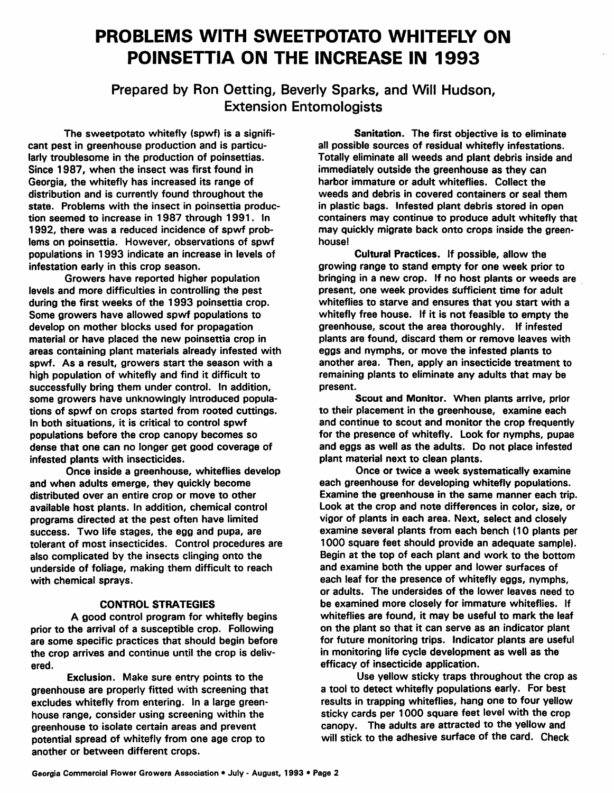## *PROBLEMS WITH SWEETPOTATO WHITEFLY ON POINSETTIA ON THE INCREASE IN 1993*

*Prepared by Ron Oetting, Beverly Sparks, and Will Hudson, Extension Entomologists*

The sweetpotato whitefly (spwf) is a signifi cant pest in greenhouse production and is particu larly troublesome in the production of poinsettias. Since 1987, when the insect was first found in Georgia, the whitefly has increased its range of distribution and is currently found throughout the state. Problems with the insect in poinsettia produc tion seemed to increase in 1987 through 1991. In 1992, there was a reduced incidence of spwf prob lems on poinsettia. However, observations of spwf populations in 1993 indicate an increase in levels of infestation early in this crop season.

Growers have reported higher population levels and more difficulties in controlling the pest during the first weeks of the 1993 poinsettia crop. Some growers have allowed spwf populations to develop on mother blocks used for propagation material or have placed the new poinsettia crop in areas containing plant materials already infested with spwf. As a result, growers start the season with a high population of whitefly and find it difficult to successfully bring them under control. In addition, some growers have unknowingly introduced popula tions of spwf on crops started from rooted cuttings. In both situations, it is critical to control spwf populations before the crop canopy becomes so dense that one can no longer get good coverage of infested plants with insecticides.

Once inside a greenhouse, whiteflies develop and when adults emerge, they quickly become distributed over an entire crop or move to other available host plants. In addition, chemical control programs directed at the pest often have limited success. Two life stages, the egg and pupa, are tolerant of most insecticides. Control procedures are also complicated by the insects clinging onto the underside of foliage, making them difficult to reach with chemical sprays.

## *CONTROL STRATEGIES*

A good control program for whitefly begins prior to the arrival of a susceptible crop. Following are some specific practices that should begin before the crop arrives and continue until the crop is deliv ered.

Exclusion. Make sure entry points to the greenhouse are properly fitted with screening that excludes whitefly from entering. In a large green house range, consider using screening within the greenhouse to isolate certain areas and prevent potential spread of whitefly from one age crop to another or between different crops.

Sanitation. The first objective is to eliminate all possible sources of residual whitefly infestations. Totally eliminate all weeds and plant debris inside and immediately outside the greenhouse as they can harbor immature or adult whiteflies. Collect the weeds and debris in covered containers or seal them in plastic bags. Infested plant debris stored in open containers may continue to produce adult whitefly that may quickly migrate back onto crops inside the green house!

*Cultural Practices.* If possible, allow the growing range to stand empty for one week prior to bringing in a new crop. If no host plants or weeds are present, one week provides sufficient time for adult whiteflies to starve and ensures that you start with a whitefly free house. If it is not feasible to empty the greenhouse, scout the area thoroughly. If infested plants are found, discard them or remove leaves with eggs and nymphs, or move the infested plants to another area. Then, apply an insecticide treatment to remaining plants to eliminate any adults that may be present.

*Scout and Monitor.* When plants arrive, prior to their placement in the greenhouse, examine each and continue to scout and monitor the crop frequently for the presence of whitefly. Look for nymphs, pupae and eggs as well as the adults. Do not place infested plant material next to clean plants.

Once or twice a week systematically examine each greenhouse for developing whitefly populations. Examine the greenhouse in the same manner each trip. Look at the crop and note differences in color, size, or vigor of plants in each area. Next, select and closely examine several plants from each bench (10 plants per 1000 square feet should provide an adequate sample). Begin at the top of each plant and work to the bottom and examine both the upper and lower surfaces of each leaf for the presence of whitefly eggs, nymphs, or adults. The undersides of the lower leaves need to be examined more closely for immature whiteflies. If whiteflies are found, it may be useful to mark the leaf on the plant so that it can serve as an indicator plant for future monitoring trips. Indicator plants are useful in monitoring life cycle development as well as the efficacy of insecticide application.

Use yellow sticky traps throughout the crop as a tool to detect whitefly populations early. For best results in trapping whiteflies, hang one to four yellow sticky cards per 1000 square feet level with the crop canopy. The adults are attracted to the yellow and will stick to the adhesive surface of the card. Check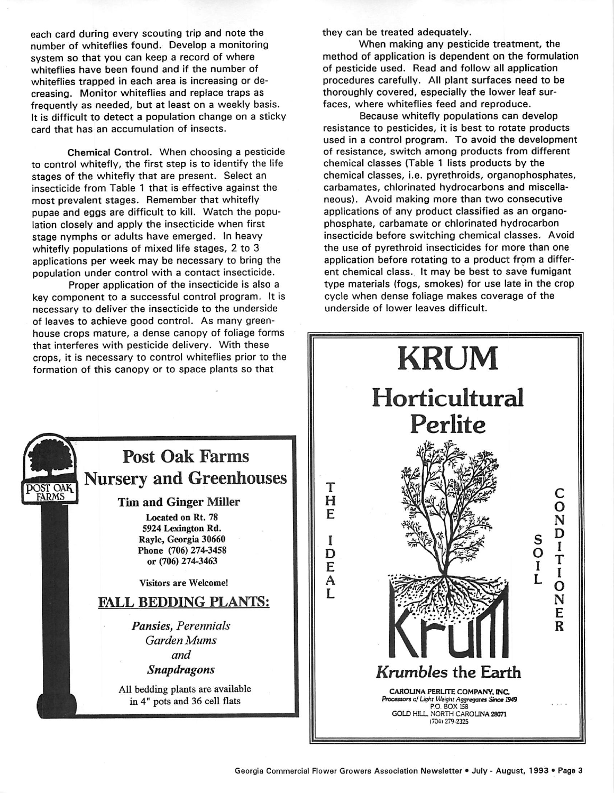each card during every scouting trip and note the number of whiteflies found. Develop a monitoring system so that you can keep a record of where whiteflies have been found and if the number of whiteflies trapped in each area is increasing or de creasing. Monitor whiteflies and replace traps as frequently as needed, but at least on a weekly basis. It is difficult to detect a population change on a sticky card that has an accumulation of insects.

Chemical Control. When choosing a pesticide to control whitefly, the first step is to identify the life stages of the whitefly that are present. Select an insecticide from Table 1 that is effective against the most prevalent stages. Remember that whitefly pupae and eggs are difficult to kill. Watch the popu lation closely and apply the insecticide when first stage nymphs or adults have emerged. In heavy whitefly populations of mixed life stages, 2 to 3 applications per week may be necessary to bring the population under control with a contact insecticide.

Proper application of the insecticide is also a key component to a successful control program. It is necessary to deliver the insecticide to the underside of leaves to achieve good control. As many green house crops mature, a dense canopy of foliage forms that interferes with pesticide delivery. With these crops, it is necessary to control whiteflies prior to the formation of this canopy or to space plants so that

they can be treated adequately.

When making any pesticide treatment, the method of application is dependent on the formulation of pesticide used. Read and follow all application procedures carefully. All plant surfaces need to be thoroughly covered, especially the lower leaf sur faces, where whiteflies feed and reproduce.

Because whitefly populations can develop resistance to pesticides, it is best to rotate products used in a control program. To avoid the development of resistance, switch among products from different chemical classes (Table 1 lists products by the chemical classes, i.e. pyrethroids, organophosphates, carbamates, chlorinated hydrocarbons and miscella neous). Avoid making more than two consecutive applications of any product classified as an organophosphate, carbamate or chlorinated hydrocarbon insecticide before switching chemical classes. Avoid the use of pyrethroid insecticides for more than one application before rotating to a product from a differ ent chemical class. It may be best to save fumigant type materials (fogs, smokes) for use late in the crop cycle when dense foliage makes coverage of the underside of lower leaves difficult.